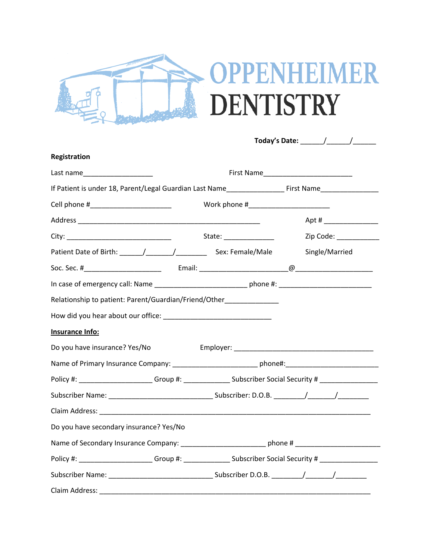

| Registration                                                                                               |                                                                                                               |                                                                                                            |  |  |  |
|------------------------------------------------------------------------------------------------------------|---------------------------------------------------------------------------------------------------------------|------------------------------------------------------------------------------------------------------------|--|--|--|
| Last name_____________________                                                                             |                                                                                                               |                                                                                                            |  |  |  |
|                                                                                                            | If Patient is under 18, Parent/Legal Guardian Last Name______________________First Name______________________ |                                                                                                            |  |  |  |
| Cell phone #___________________________                                                                    |                                                                                                               |                                                                                                            |  |  |  |
|                                                                                                            |                                                                                                               |                                                                                                            |  |  |  |
|                                                                                                            |                                                                                                               |                                                                                                            |  |  |  |
|                                                                                                            |                                                                                                               |                                                                                                            |  |  |  |
|                                                                                                            |                                                                                                               |                                                                                                            |  |  |  |
|                                                                                                            |                                                                                                               |                                                                                                            |  |  |  |
| Relationship to patient: Parent/Guardian/Friend/Other______________                                        |                                                                                                               |                                                                                                            |  |  |  |
|                                                                                                            |                                                                                                               |                                                                                                            |  |  |  |
| Insurance Info:                                                                                            |                                                                                                               |                                                                                                            |  |  |  |
| Do you have insurance? Yes/No                                                                              |                                                                                                               |                                                                                                            |  |  |  |
| Name of Primary Insurance Company: _______________________________phone#:___________________________       |                                                                                                               |                                                                                                            |  |  |  |
| Policy #: ________________________Group #: _________________Subscriber Social Security # _________________ |                                                                                                               |                                                                                                            |  |  |  |
|                                                                                                            |                                                                                                               |                                                                                                            |  |  |  |
|                                                                                                            |                                                                                                               |                                                                                                            |  |  |  |
| Do you have secondary insurance? Yes/No                                                                    |                                                                                                               |                                                                                                            |  |  |  |
| Name of Secondary Insurance Company: _______________________________phone # ________________________       |                                                                                                               |                                                                                                            |  |  |  |
|                                                                                                            |                                                                                                               | Policy #: ________________________Group #: __________________Subscriber Social Security # ________________ |  |  |  |
|                                                                                                            |                                                                                                               |                                                                                                            |  |  |  |
| Claim Address:                                                                                             |                                                                                                               |                                                                                                            |  |  |  |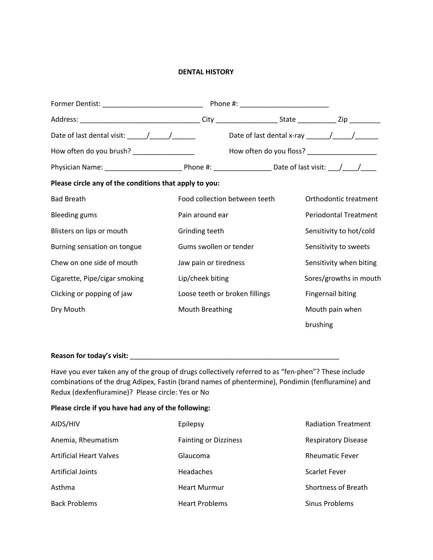## **DENTAL HISTORY**

| Former Dentist: __________________________________     |                                |                                                                                           |                              |
|--------------------------------------------------------|--------------------------------|-------------------------------------------------------------------------------------------|------------------------------|
|                                                        |                                |                                                                                           |                              |
| Date of last dental visit: $\frac{\sqrt{2}}{2}$        |                                | Date of last dental x-ray $\frac{1}{\frac{1}{2} \cdot 1}$ $\frac{1}{\frac{1}{2} \cdot 1}$ |                              |
| How often do you brush? __________________             |                                | How often do you floss? _____________________                                             |                              |
|                                                        |                                |                                                                                           |                              |
| Please circle any of the conditions that apply to you: |                                |                                                                                           |                              |
| <b>Bad Breath</b>                                      | Food collection between teeth  |                                                                                           | Orthodontic treatment        |
| <b>Bleeding gums</b>                                   | Pain around ear                |                                                                                           | <b>Periodontal Treatment</b> |
| Blisters on lips or mouth                              | Grinding teeth                 |                                                                                           | Sensitivity to hot/cold      |
| Burning sensation on tongue                            | Gums swollen or tender         |                                                                                           | Sensitivity to sweets        |
| Chew on one side of mouth                              | Jaw pain or tiredness          |                                                                                           | Sensitivity when biting      |
| Cigarette, Pipe/cigar smoking                          | Lip/cheek biting               |                                                                                           | Sores/growths in mouth       |
| Clicking or popping of jaw                             | Loose teeth or broken fillings |                                                                                           | <b>Fingernail biting</b>     |
| Dry Mouth                                              | <b>Mouth Breathing</b>         |                                                                                           | Mouth pain when              |
|                                                        |                                |                                                                                           | brushing                     |

## **Reason for today's visit:** \_\_\_\_\_\_\_\_\_\_\_\_\_\_\_\_\_\_\_\_\_\_\_\_\_\_\_\_\_\_\_\_\_\_\_\_\_\_\_\_\_\_\_\_\_\_\_\_\_\_\_\_\_\_

Have you ever taken any of the group of drugs collectively referred to as "fen-phen"? These include combinations of the drug Adipex, Fastin (brand names of phentermine), Pondimin (fenfluramine) and Redux (dexfenfluramine)? Please circle: Yes or No

## **Please circle if you have had any of the following:**

| AIDS/HIV                       | Epilepsy                     | <b>Radiation Treatment</b> |
|--------------------------------|------------------------------|----------------------------|
| Anemia, Rheumatism             | <b>Fainting or Dizziness</b> | <b>Respiratory Disease</b> |
| <b>Artificial Heart Valves</b> | Glaucoma                     | <b>Rheumatic Fever</b>     |
| <b>Artificial Joints</b>       | <b>Headaches</b>             | <b>Scarlet Fever</b>       |
| Asthma                         | <b>Heart Murmur</b>          | <b>Shortness of Breath</b> |
| <b>Back Problems</b>           | <b>Heart Problems</b>        | Sinus Problems             |